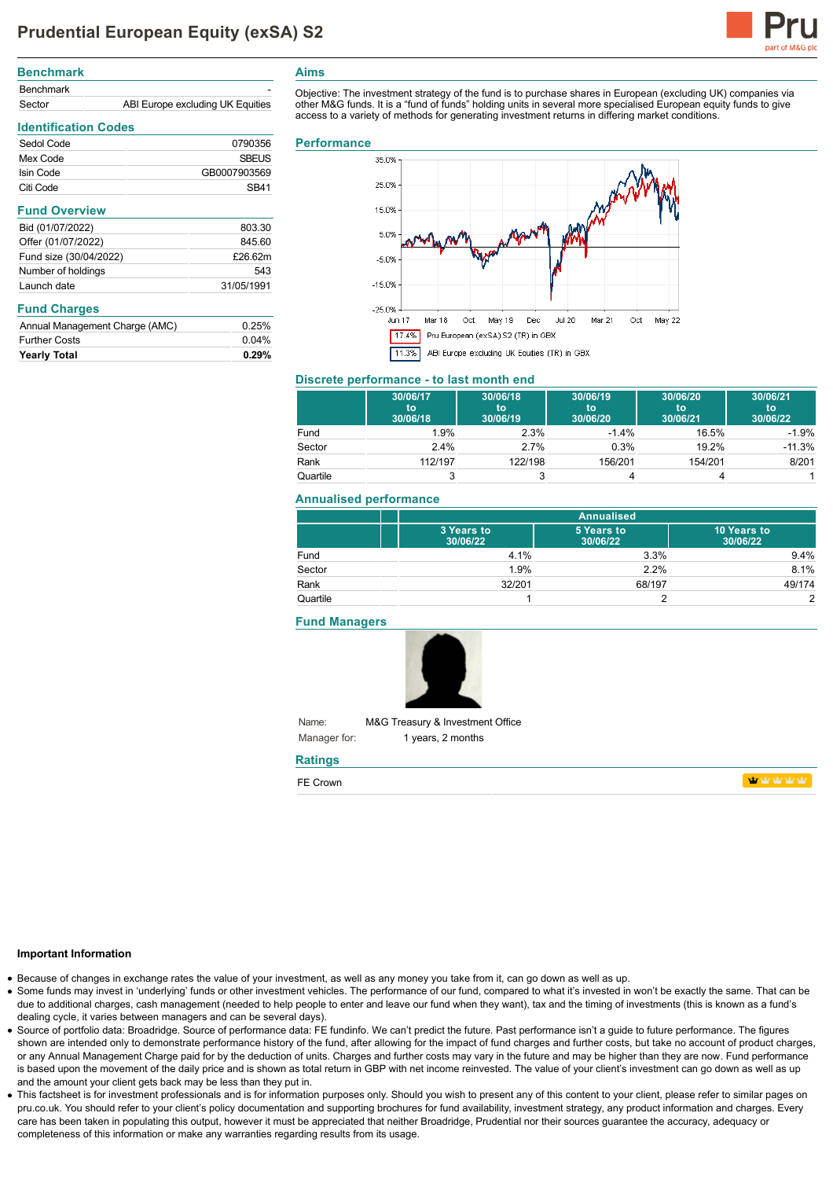

| <b>Benchmark</b> |                                  |
|------------------|----------------------------------|
| <b>Benchmark</b> | -                                |
| Sector           | ABI Europe excluding UK Equities |

Sedol Code 0790356 Mex Code SBEUS **Isin Code** GB0007903569 Citi Code SB41

# **Aims**

Objective: The investment strategy of the fund is to purchase shares in European (excluding UK) companies via other M&G funds. It is a "fund of funds" holding units in several more specialised European equity funds to give access to a variety of methods for generating investment returns in differing market conditions.

#### **Performance**



#### **Discrete performance - to last month end**

|          | 30/06/17<br>to<br>30/06/18 | 30/06/18<br>to<br>30/06/19 | 30/06/19<br>'to<br>30/06/20 | 30/06/20<br>to<br>30/06/21 | 30/06/21<br>to<br>30/06/22 |
|----------|----------------------------|----------------------------|-----------------------------|----------------------------|----------------------------|
| Fund     | 1.9%                       | 2.3%                       | $-1.4%$                     | 16.5%                      | $-1.9%$                    |
| Sector   | 2.4%                       | 2.7%                       | 0.3%                        | 19.2%                      | $-11.3%$                   |
| Rank     | 112/197                    | 122/198                    | 156/201                     | 154/201                    | 8/201                      |
| Quartile |                            |                            |                             |                            |                            |

### **Annualised performance**

|          | <b>Annualised</b>      |                        |                         |  |
|----------|------------------------|------------------------|-------------------------|--|
|          | 3 Years to<br>30/06/22 | 5 Years to<br>30/06/22 | 10 Years to<br>30/06/22 |  |
| Fund     | 4.1%                   | 3.3%                   | 9.4%                    |  |
| Sector   | 1.9%                   | 2.2%                   | 8.1%                    |  |
| Rank     | 32/201                 | 68/197                 | 49/174                  |  |
| Quartile |                        |                        | 2                       |  |

**Fund Managers**



Name: Manager for: M&G Treasury & Investment Office 1 years, 2 months

## **Ratings**

| FE Crown |  |  |  |  |
|----------|--|--|--|--|
|----------|--|--|--|--|

**haby** haby haby

#### **Important Information**

- Because of changes in exchange rates the value of your investment, as well as any money you take from it, can go down as well as up.
- Some funds may invest in 'underlying' funds or other investment vehicles. The performance of our fund, compared to what it's invested in won't be exactly the same. That can be due to additional charges, cash management (needed to help people to enter and leave our fund when they want), tax and the timing of investments (this is known as a fund's dealing cycle, it varies between managers and can be several days).
- Source of portfolio data: Broadridge. Source of performance data: FE fundinfo. We can't predict the future. Past performance isn't a guide to future performance. The figures shown are intended only to demonstrate performance history of the fund, after allowing for the impact of fund charges and further costs, but take no account of product charges, or any Annual Management Charge paid for by the deduction of units. Charges and further costs may vary in the future and may be higher than they are now. Fund performance is based upon the movement of the daily price and is shown as total return in GBP with net income reinvested. The value of your client's investment can go down as well as up and the amount your client gets back may be less than they put in.
- This factsheet is for investment professionals and is for information purposes only. Should you wish to present any of this content to your client, please refer to similar pages on pru.co.uk. You should refer to your client's policy documentation and supporting brochures for fund availability, investment strategy, any product information and charges. Every care has been taken in populating this output, however it must be appreciated that neither Broadridge, Prudential nor their sources guarantee the accuracy, adequacy or completeness of this information or make any warranties regarding results from its usage.

**Fund Overview** Bid (01/07/2022) 803.30 Offer (01/07/2022) 845.60 Fund size (30/04/2022) £26.62m Number of holdings 543 Launch date 31/05/1991

#### **Fund Charges**

**Identification Codes**

| 0.04% |
|-------|
| 0.25% |
|       |